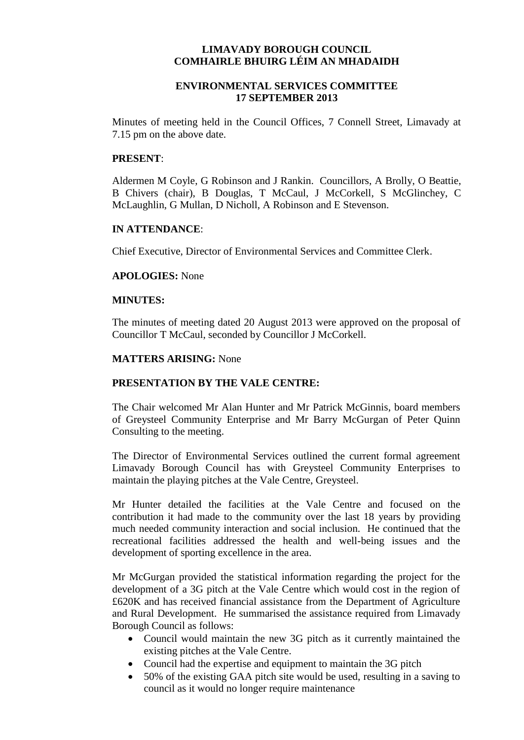# **LIMAVADY BOROUGH COUNCIL COMHAIRLE BHUIRG LÉIM AN MHADAIDH**

# **ENVIRONMENTAL SERVICES COMMITTEE 17 SEPTEMBER 2013**

Minutes of meeting held in the Council Offices, 7 Connell Street, Limavady at 7.15 pm on the above date.

### **PRESENT**:

Aldermen M Coyle, G Robinson and J Rankin. Councillors, A Brolly, O Beattie, B Chivers (chair), B Douglas, T McCaul, J McCorkell, S McGlinchey, C McLaughlin, G Mullan, D Nicholl, A Robinson and E Stevenson.

### **IN ATTENDANCE**:

Chief Executive, Director of Environmental Services and Committee Clerk.

### **APOLOGIES:** None

#### **MINUTES:**

The minutes of meeting dated 20 August 2013 were approved on the proposal of Councillor T McCaul, seconded by Councillor J McCorkell.

#### **MATTERS ARISING:** None

# **PRESENTATION BY THE VALE CENTRE:**

The Chair welcomed Mr Alan Hunter and Mr Patrick McGinnis, board members of Greysteel Community Enterprise and Mr Barry McGurgan of Peter Quinn Consulting to the meeting.

The Director of Environmental Services outlined the current formal agreement Limavady Borough Council has with Greysteel Community Enterprises to maintain the playing pitches at the Vale Centre, Greysteel.

Mr Hunter detailed the facilities at the Vale Centre and focused on the contribution it had made to the community over the last 18 years by providing much needed community interaction and social inclusion. He continued that the recreational facilities addressed the health and well-being issues and the development of sporting excellence in the area.

Mr McGurgan provided the statistical information regarding the project for the development of a 3G pitch at the Vale Centre which would cost in the region of £620K and has received financial assistance from the Department of Agriculture and Rural Development. He summarised the assistance required from Limavady Borough Council as follows:

- Council would maintain the new 3G pitch as it currently maintained the existing pitches at the Vale Centre.
- Council had the expertise and equipment to maintain the 3G pitch
- 50% of the existing GAA pitch site would be used, resulting in a saving to council as it would no longer require maintenance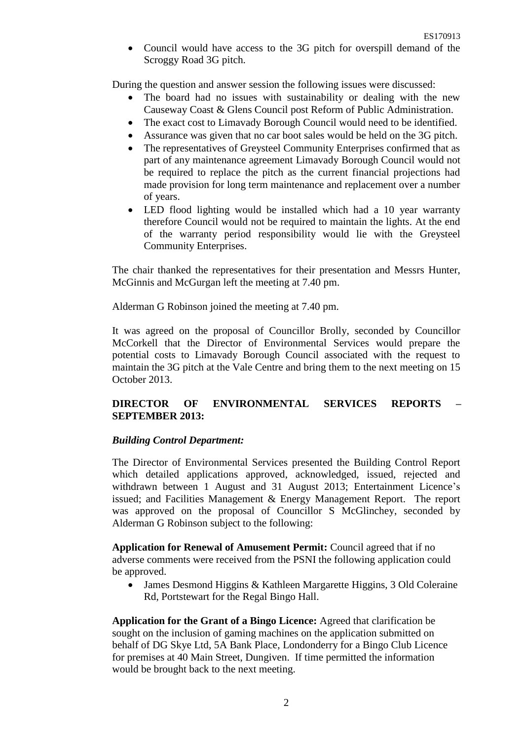• Council would have access to the 3G pitch for overspill demand of the Scroggy Road 3G pitch.

During the question and answer session the following issues were discussed:

- The board had no issues with sustainability or dealing with the new Causeway Coast & Glens Council post Reform of Public Administration.
- The exact cost to Limavady Borough Council would need to be identified.
- Assurance was given that no car boot sales would be held on the 3G pitch.
- The representatives of Greysteel Community Enterprises confirmed that as part of any maintenance agreement Limavady Borough Council would not be required to replace the pitch as the current financial projections had made provision for long term maintenance and replacement over a number of years.
- LED flood lighting would be installed which had a 10 year warranty therefore Council would not be required to maintain the lights. At the end of the warranty period responsibility would lie with the Greysteel Community Enterprises.

The chair thanked the representatives for their presentation and Messrs Hunter, McGinnis and McGurgan left the meeting at 7.40 pm.

Alderman G Robinson joined the meeting at 7.40 pm.

It was agreed on the proposal of Councillor Brolly, seconded by Councillor McCorkell that the Director of Environmental Services would prepare the potential costs to Limavady Borough Council associated with the request to maintain the 3G pitch at the Vale Centre and bring them to the next meeting on 15 October 2013.

# **DIRECTOR OF ENVIRONMENTAL SERVICES REPORTS – SEPTEMBER 2013:**

# *Building Control Department:*

The Director of Environmental Services presented the Building Control Report which detailed applications approved, acknowledged, issued, rejected and withdrawn between 1 August and 31 August 2013; Entertainment Licence's issued; and Facilities Management & Energy Management Report. The report was approved on the proposal of Councillor S McGlinchey, seconded by Alderman G Robinson subject to the following:

**Application for Renewal of Amusement Permit:** Council agreed that if no adverse comments were received from the PSNI the following application could be approved.

• James Desmond Higgins & Kathleen Margarette Higgins, 3 Old Coleraine Rd, Portstewart for the Regal Bingo Hall.

**Application for the Grant of a Bingo Licence:** Agreed that clarification be sought on the inclusion of gaming machines on the application submitted on behalf of DG Skye Ltd, 5A Bank Place, Londonderry for a Bingo Club Licence for premises at 40 Main Street, Dungiven. If time permitted the information would be brought back to the next meeting.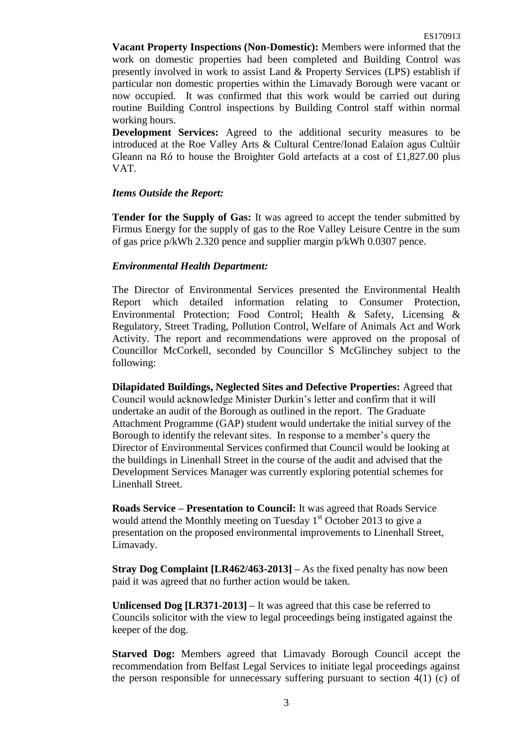**Vacant Property Inspections (Non-Domestic):** Members were informed that the work on domestic properties had been completed and Building Control was presently involved in work to assist Land & Property Services (LPS) establish if particular non domestic properties within the Limavady Borough were vacant or now occupied. It was confirmed that this work would be carried out during routine Building Control inspections by Building Control staff within normal working hours.

**Development Services:** Agreed to the additional security measures to be introduced at the Roe Valley Arts & Cultural Centre/Ionad Ealaíon agus Cultúir Gleann na Ró to house the Broighter Gold artefacts at a cost of £1,827.00 plus VAT.

# *Items Outside the Report:*

**Tender for the Supply of Gas:** It was agreed to accept the tender submitted by Firmus Energy for the supply of gas to the Roe Valley Leisure Centre in the sum of gas price p/kWh 2.320 pence and supplier margin p/kWh 0.0307 pence.

### *Environmental Health Department:*

The Director of Environmental Services presented the Environmental Health Report which detailed information relating to Consumer Protection, Environmental Protection; Food Control; Health & Safety, Licensing & Regulatory, Street Trading, Pollution Control, Welfare of Animals Act and Work Activity. The report and recommendations were approved on the proposal of Councillor McCorkell, seconded by Councillor S McGlinchey subject to the following:

**Dilapidated Buildings, Neglected Sites and Defective Properties:** Agreed that Council would acknowledge Minister Durkin's letter and confirm that it will undertake an audit of the Borough as outlined in the report. The Graduate Attachment Programme (GAP) student would undertake the initial survey of the Borough to identify the relevant sites. In response to a member's query the Director of Environmental Services confirmed that Council would be looking at the buildings in Linenhall Street in the course of the audit and advised that the Development Services Manager was currently exploring potential schemes for Linenhall Street.

**Roads Service – Presentation to Council:** It was agreed that Roads Service would attend the Monthly meeting on Tuesday  $1<sup>st</sup>$  October 2013 to give a presentation on the proposed environmental improvements to Linenhall Street, Limavady.

**Stray Dog Complaint [LR462/463-2013] –** As the fixed penalty has now been paid it was agreed that no further action would be taken.

**Unlicensed Dog [LR371-2013] –** It was agreed that this case be referred to Councils solicitor with the view to legal proceedings being instigated against the keeper of the dog.

**Starved Dog:** Members agreed that Limavady Borough Council accept the recommendation from Belfast Legal Services to initiate legal proceedings against the person responsible for unnecessary suffering pursuant to section  $4(1)$  (c) of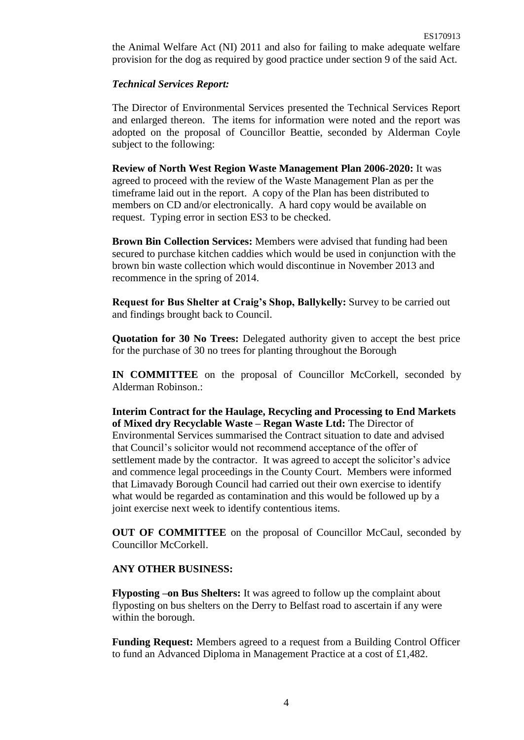the Animal Welfare Act (NI) 2011 and also for failing to make adequate welfare provision for the dog as required by good practice under section 9 of the said Act.

# *Technical Services Report:*

The Director of Environmental Services presented the Technical Services Report and enlarged thereon. The items for information were noted and the report was adopted on the proposal of Councillor Beattie, seconded by Alderman Coyle subject to the following:

**Review of North West Region Waste Management Plan 2006-2020:** It was agreed to proceed with the review of the Waste Management Plan as per the timeframe laid out in the report. A copy of the Plan has been distributed to members on CD and/or electronically. A hard copy would be available on request. Typing error in section ES3 to be checked.

**Brown Bin Collection Services:** Members were advised that funding had been secured to purchase kitchen caddies which would be used in conjunction with the brown bin waste collection which would discontinue in November 2013 and recommence in the spring of 2014.

**Request for Bus Shelter at Craig's Shop, Ballykelly:** Survey to be carried out and findings brought back to Council.

**Quotation for 30 No Trees:** Delegated authority given to accept the best price for the purchase of 30 no trees for planting throughout the Borough

**IN COMMITTEE** on the proposal of Councillor McCorkell, seconded by Alderman Robinson.:

**Interim Contract for the Haulage, Recycling and Processing to End Markets of Mixed dry Recyclable Waste – Regan Waste Ltd:** The Director of Environmental Services summarised the Contract situation to date and advised that Council's solicitor would not recommend acceptance of the offer of settlement made by the contractor. It was agreed to accept the solicitor's advice and commence legal proceedings in the County Court. Members were informed that Limavady Borough Council had carried out their own exercise to identify what would be regarded as contamination and this would be followed up by a joint exercise next week to identify contentious items.

**OUT OF COMMITTEE** on the proposal of Councillor McCaul, seconded by Councillor McCorkell.

# **ANY OTHER BUSINESS:**

**Flyposting –on Bus Shelters:** It was agreed to follow up the complaint about flyposting on bus shelters on the Derry to Belfast road to ascertain if any were within the borough.

**Funding Request:** Members agreed to a request from a Building Control Officer to fund an Advanced Diploma in Management Practice at a cost of £1,482.